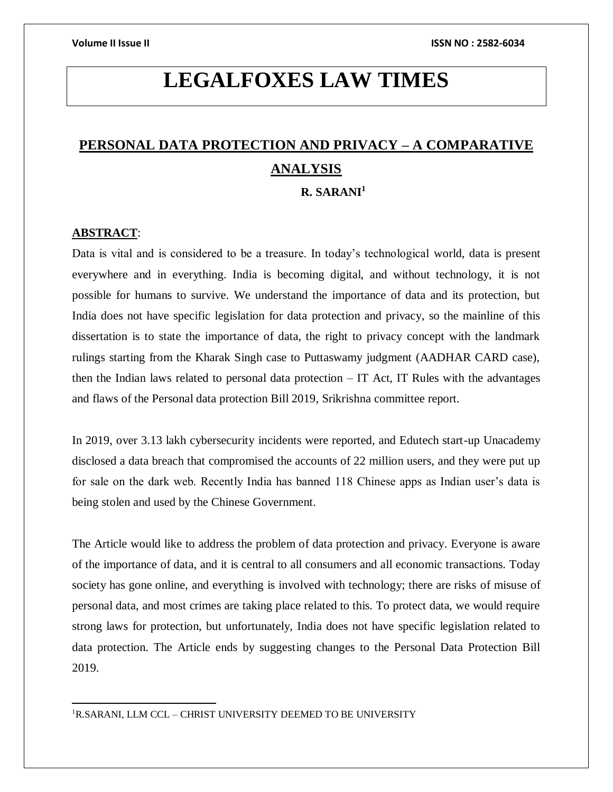# **LEGALFOXES LAW TIMES**

## **PERSONAL DATA PROTECTION AND PRIVACY – A COMPARATIVE ANALYSIS R. SARANI<sup>1</sup>**

### **ABSTRACT**:

 $\overline{a}$ 

Data is vital and is considered to be a treasure. In today's technological world, data is present everywhere and in everything. India is becoming digital, and without technology, it is not possible for humans to survive. We understand the importance of data and its protection, but India does not have specific legislation for data protection and privacy, so the mainline of this dissertation is to state the importance of data, the right to privacy concept with the landmark rulings starting from the Kharak Singh case to Puttaswamy judgment (AADHAR CARD case), then the Indian laws related to personal data protection  $-$  IT Act, IT Rules with the advantages and flaws of the Personal data protection Bill 2019, Srikrishna committee report.

In 2019, over 3.13 lakh cybersecurity incidents were reported, and Edutech start-up Unacademy disclosed a data breach that compromised the accounts of 22 million users, and they were put up for sale on the dark web. Recently India has banned 118 Chinese apps as Indian user's data is being stolen and used by the Chinese Government.

The Article would like to address the problem of data protection and privacy. Everyone is aware of the importance of data, and it is central to all consumers and all economic transactions. Today society has gone online, and everything is involved with technology; there are risks of misuse of personal data, and most crimes are taking place related to this. To protect data, we would require strong laws for protection, but unfortunately, India does not have specific legislation related to data protection. The Article ends by suggesting changes to the Personal Data Protection Bill 2019.

<sup>1</sup>R.SARANI, LLM CCL – CHRIST UNIVERSITY DEEMED TO BE UNIVERSITY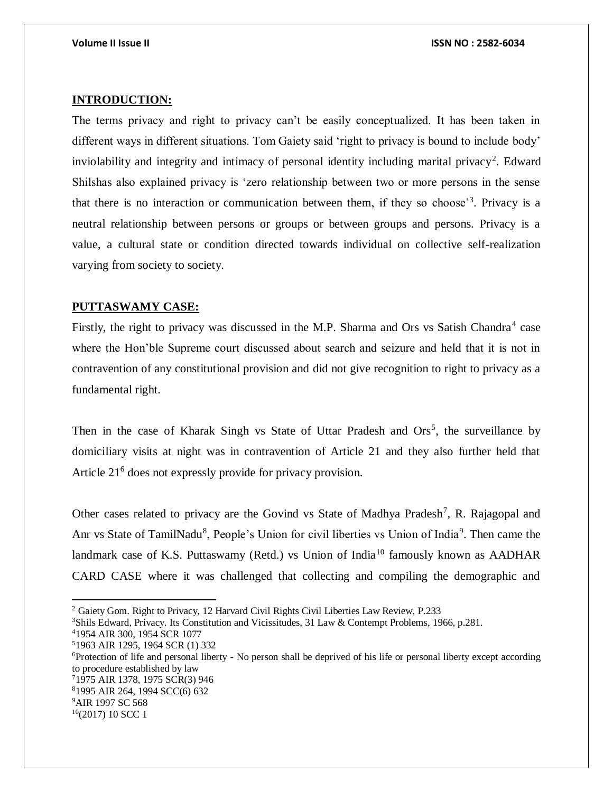### **INTRODUCTION:**

The terms privacy and right to privacy can't be easily conceptualized. It has been taken in different ways in different situations. Tom Gaiety said 'right to privacy is bound to include body' inviolability and integrity and intimacy of personal identity including marital privacy<sup>2</sup>. Edward Shilshas also explained privacy is 'zero relationship between two or more persons in the sense that there is no interaction or communication between them, if they so choose<sup>3</sup>. Privacy is a neutral relationship between persons or groups or between groups and persons. Privacy is a value, a cultural state or condition directed towards individual on collective self-realization varying from society to society.

#### **PUTTASWAMY CASE:**

Firstly, the right to privacy was discussed in the M.P. Sharma and Ors vs Satish Chandra<sup>4</sup> case where the Hon'ble Supreme court discussed about search and seizure and held that it is not in contravention of any constitutional provision and did not give recognition to right to privacy as a fundamental right.

Then in the case of Kharak Singh vs State of Uttar Pradesh and Ors<sup>5</sup>, the surveillance by domiciliary visits at night was in contravention of Article 21 and they also further held that Article 21<sup>6</sup> does not expressly provide for privacy provision.

Other cases related to privacy are the Govind vs State of Madhya Pradesh<sup>7</sup>, R. Rajagopal and Anr vs State of TamilNadu<sup>8</sup>, People's Union for civil liberties vs Union of India<sup>9</sup>. Then came the landmark case of K.S. Puttaswamy (Retd.) vs Union of India<sup>10</sup> famously known as AADHAR CARD CASE where it was challenged that collecting and compiling the demographic and

<sup>2</sup> Gaiety Gom. Right to Privacy, 12 Harvard Civil Rights Civil Liberties Law Review, P.233

<sup>3</sup>Shils Edward, Privacy. Its Constitution and Vicissitudes, 31 Law & Contempt Problems, 1966, p.281.

<sup>4</sup>1954 AIR 300, 1954 SCR 1077

<sup>5</sup>1963 AIR 1295, 1964 SCR (1) 332

<sup>6</sup>Protection of life and personal liberty - No person shall be deprived of his life or personal liberty except according to procedure established by law

<sup>7</sup>1975 AIR 1378, 1975 SCR(3) 946

<sup>8</sup>1995 AIR 264, 1994 SCC(6) 632

<sup>&</sup>lt;sup>9</sup>AIR 1997 SC 568

 $10(2017)$  10 SCC 1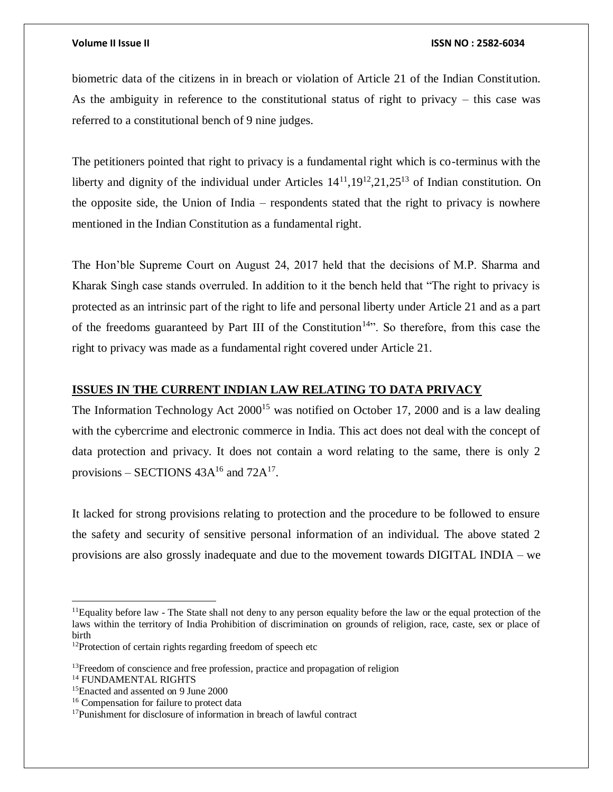#### **Volume II Issue II ISSN NO : 2582-6034**

biometric data of the citizens in in breach or violation of Article 21 of the Indian Constitution. As the ambiguity in reference to the constitutional status of right to privacy – this case was referred to a constitutional bench of 9 nine judges.

The petitioners pointed that right to privacy is a fundamental right which is co-terminus with the liberty and dignity of the individual under Articles  $14^{11}$ ,  $19^{12}$ ,  $21$ ,  $25^{13}$  of Indian constitution. On the opposite side, the Union of India – respondents stated that the right to privacy is nowhere mentioned in the Indian Constitution as a fundamental right.

The Hon'ble Supreme Court on August 24, 2017 held that the decisions of M.P. Sharma and Kharak Singh case stands overruled. In addition to it the bench held that "The right to privacy is protected as an intrinsic part of the right to life and personal liberty under Article 21 and as a part of the freedoms guaranteed by Part III of the Constitution<sup>14</sup>. So therefore, from this case the right to privacy was made as a fundamental right covered under Article 21.

#### **ISSUES IN THE CURRENT INDIAN LAW RELATING TO DATA PRIVACY**

The Information Technology Act  $2000^{15}$  was notified on October 17, 2000 and is a law dealing with the cybercrime and electronic commerce in India. This act does not deal with the concept of data protection and privacy. It does not contain a word relating to the same, there is only 2 provisions – SECTIONS  $43A^{16}$  and  $72A^{17}$ .

It lacked for strong provisions relating to protection and the procedure to be followed to ensure the safety and security of sensitive personal information of an individual. The above stated 2 provisions are also grossly inadequate and due to the movement towards DIGITAL INDIA – we

 $11$ Equality before law - The State shall not deny to any person equality before the law or the equal protection of the laws within the territory of India Prohibition of discrimination on grounds of religion, race, caste, sex or place of birth

<sup>&</sup>lt;sup>12</sup>Protection of certain rights regarding freedom of speech etc

<sup>&</sup>lt;sup>13</sup>Freedom of conscience and free profession, practice and propagation of religion

<sup>14</sup> FUNDAMENTAL RIGHTS

<sup>15</sup>Enacted and assented on 9 June 2000

<sup>16</sup> Compensation for failure to protect data

<sup>17</sup>Punishment for disclosure of information in breach of lawful contract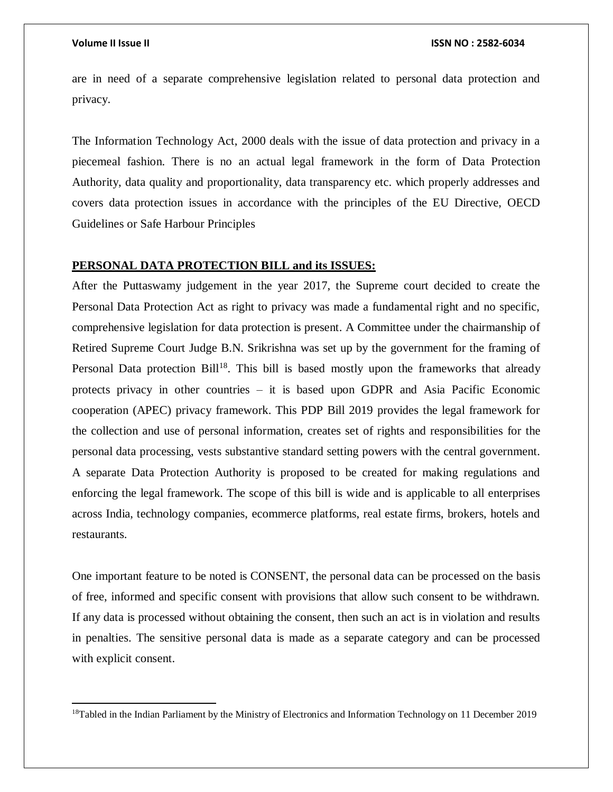$\overline{a}$ 

are in need of a separate comprehensive legislation related to personal data protection and privacy.

The Information Technology Act, 2000 deals with the issue of data protection and privacy in a piecemeal fashion. There is no an actual legal framework in the form of Data Protection Authority, data quality and proportionality, data transparency etc. which properly addresses and covers data protection issues in accordance with the principles of the EU Directive, OECD Guidelines or Safe Harbour Principles

### **PERSONAL DATA PROTECTION BILL and its ISSUES:**

After the Puttaswamy judgement in the year 2017, the Supreme court decided to create the Personal Data Protection Act as right to privacy was made a fundamental right and no specific, comprehensive legislation for data protection is present. A Committee under the chairmanship of Retired Supreme Court Judge B.N. Srikrishna was set up by the government for the framing of Personal Data protection Bill<sup>18</sup>. This bill is based mostly upon the frameworks that already protects privacy in other countries – it is based upon GDPR and Asia Pacific Economic cooperation (APEC) privacy framework. This PDP Bill 2019 provides the legal framework for the collection and use of personal information, creates set of rights and responsibilities for the personal data processing, vests substantive standard setting powers with the central government. A separate Data Protection Authority is proposed to be created for making regulations and enforcing the legal framework. The scope of this bill is wide and is applicable to all enterprises across India, technology companies, ecommerce platforms, real estate firms, brokers, hotels and restaurants.

One important feature to be noted is CONSENT, the personal data can be processed on the basis of free, informed and specific consent with provisions that allow such consent to be withdrawn. If any data is processed without obtaining the consent, then such an act is in violation and results in penalties. The sensitive personal data is made as a separate category and can be processed with explicit consent.

<sup>18</sup>Tabled in the Indian Parliament by the Ministry of Electronics and Information Technology on 11 December 2019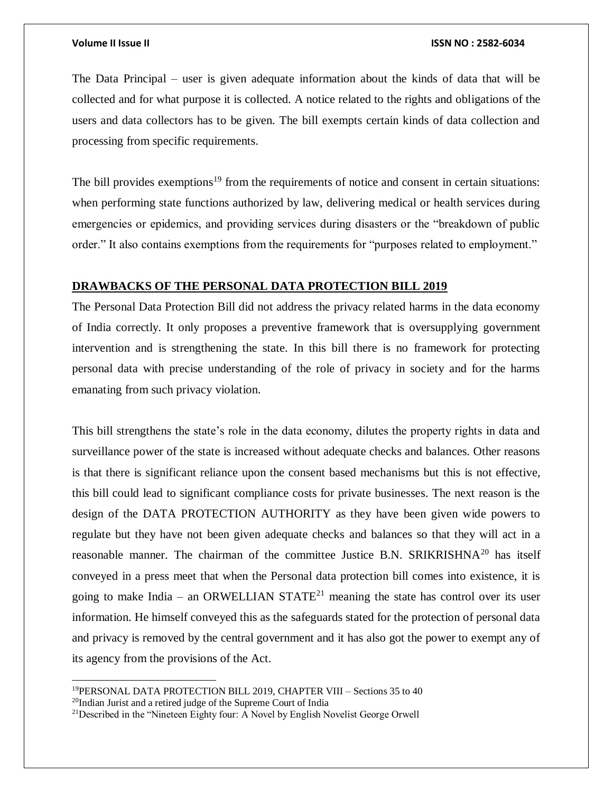$\overline{a}$ 

#### **Volume II Issue II ISSN NO : 2582-6034**

The Data Principal – user is given adequate information about the kinds of data that will be collected and for what purpose it is collected. A notice related to the rights and obligations of the users and data collectors has to be given. The bill exempts certain kinds of data collection and processing from specific requirements.

The bill provides exemptions<sup>19</sup> from the requirements of notice and consent in certain situations: when performing state functions authorized by law, delivering medical or health services during emergencies or epidemics, and providing services during disasters or the "breakdown of public order." It also contains exemptions from the requirements for "purposes related to employment."

### **DRAWBACKS OF THE PERSONAL DATA PROTECTION BILL 2019**

The Personal Data Protection Bill did not address the privacy related harms in the data economy of India correctly. It only proposes a preventive framework that is oversupplying government intervention and is strengthening the state. In this bill there is no framework for protecting personal data with precise understanding of the role of privacy in society and for the harms emanating from such privacy violation.

This bill strengthens the state's role in the data economy, dilutes the property rights in data and surveillance power of the state is increased without adequate checks and balances. Other reasons is that there is significant reliance upon the consent based mechanisms but this is not effective, this bill could lead to significant compliance costs for private businesses. The next reason is the design of the DATA PROTECTION AUTHORITY as they have been given wide powers to regulate but they have not been given adequate checks and balances so that they will act in a reasonable manner. The chairman of the committee Justice B.N. SRIKRISHNA<sup>20</sup> has itself conveyed in a press meet that when the Personal data protection bill comes into existence, it is going to make India – an ORWELLIAN STATE<sup>21</sup> meaning the state has control over its user information. He himself conveyed this as the safeguards stated for the protection of personal data and privacy is removed by the central government and it has also got the power to exempt any of its agency from the provisions of the Act.

<sup>19</sup>PERSONAL DATA PROTECTION BILL 2019, CHAPTER VIII – Sections 35 to 40 <sup>20</sup>Indian Jurist and a retired judge of the Supreme Court of India

<sup>21</sup>Described in the "Nineteen Eighty four: A Novel by English Novelist George Orwell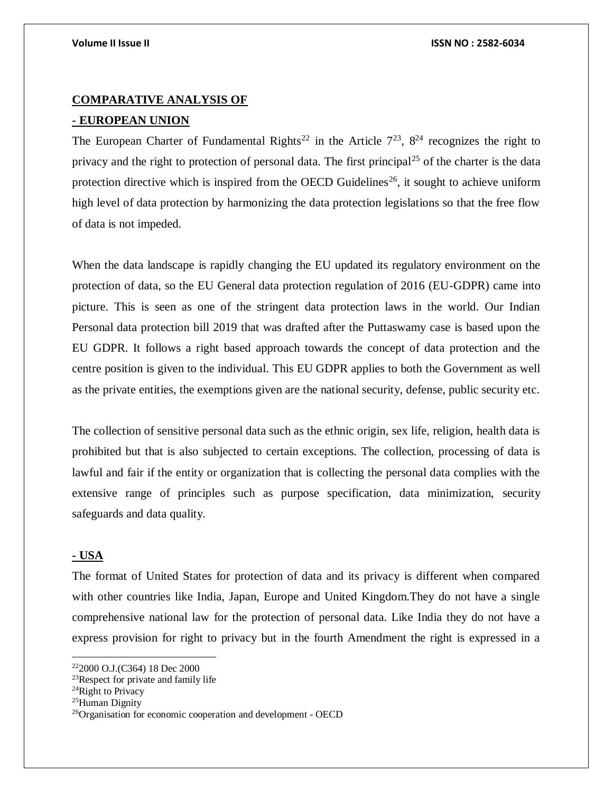### **COMPARATIVE ANALYSIS OF**

### **- EUROPEAN UNION**

The European Charter of Fundamental Rights<sup>22</sup> in the Article  $7^{23}$ ,  $8^{24}$  recognizes the right to privacy and the right to protection of personal data. The first principal<sup>25</sup> of the charter is the data protection directive which is inspired from the OECD Guidelines<sup>26</sup>, it sought to achieve uniform high level of data protection by harmonizing the data protection legislations so that the free flow of data is not impeded.

When the data landscape is rapidly changing the EU updated its regulatory environment on the protection of data, so the EU General data protection regulation of 2016 (EU-GDPR) came into picture. This is seen as one of the stringent data protection laws in the world. Our Indian Personal data protection bill 2019 that was drafted after the Puttaswamy case is based upon the EU GDPR. It follows a right based approach towards the concept of data protection and the centre position is given to the individual. This EU GDPR applies to both the Government as well as the private entities, the exemptions given are the national security, defense, public security etc.

The collection of sensitive personal data such as the ethnic origin, sex life, religion, health data is prohibited but that is also subjected to certain exceptions. The collection, processing of data is lawful and fair if the entity or organization that is collecting the personal data complies with the extensive range of principles such as purpose specification, data minimization, security safeguards and data quality.

### **- USA**

 $\overline{\phantom{a}}$ 

The format of United States for protection of data and its privacy is different when compared with other countries like India, Japan, Europe and United Kingdom.They do not have a single comprehensive national law for the protection of personal data. Like India they do not have a express provision for right to privacy but in the fourth Amendment the right is expressed in a

<sup>22</sup>2000 O.J.(C364) 18 Dec 2000

<sup>&</sup>lt;sup>23</sup>Respect for private and family life

<sup>&</sup>lt;sup>24</sup>Right to Privacy

<sup>25</sup>Human Dignity

<sup>26</sup>Organisation for economic cooperation and development - OECD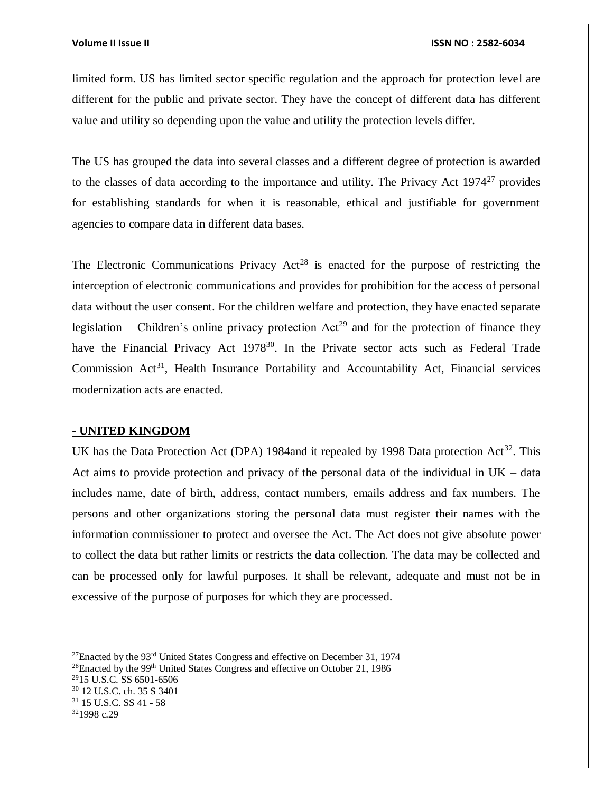#### **Volume II Issue II ISSN NO : 2582-6034**

limited form. US has limited sector specific regulation and the approach for protection level are different for the public and private sector. They have the concept of different data has different value and utility so depending upon the value and utility the protection levels differ.

The US has grouped the data into several classes and a different degree of protection is awarded to the classes of data according to the importance and utility. The Privacy Act  $1974<sup>27</sup>$  provides for establishing standards for when it is reasonable, ethical and justifiable for government agencies to compare data in different data bases.

The Electronic Communications Privacy  $Act^{28}$  is enacted for the purpose of restricting the interception of electronic communications and provides for prohibition for the access of personal data without the user consent. For the children welfare and protection, they have enacted separate legislation – Children's online privacy protection  $Act^{29}$  and for the protection of finance they have the Financial Privacy Act  $1978^{30}$ . In the Private sector acts such as Federal Trade Commission  $Act^{31}$ , Health Insurance Portability and Accountability Act, Financial services modernization acts are enacted.

#### **- UNITED KINGDOM**

UK has the Data Protection Act (DPA) 1984and it repealed by 1998 Data protection Act<sup>32</sup>. This Act aims to provide protection and privacy of the personal data of the individual in UK – data includes name, date of birth, address, contact numbers, emails address and fax numbers. The persons and other organizations storing the personal data must register their names with the information commissioner to protect and oversee the Act. The Act does not give absolute power to collect the data but rather limits or restricts the data collection. The data may be collected and can be processed only for lawful purposes. It shall be relevant, adequate and must not be in excessive of the purpose of purposes for which they are processed.

 $27$ Enacted by the 93<sup>rd</sup> United States Congress and effective on December 31, 1974

 $28$ Enacted by the 99<sup>th</sup> United States Congress and effective on October 21, 1986

<sup>29</sup>15 U.S.C. SS 6501-6506

<sup>30</sup> 12 U.S.C. ch. 35 S 3401

<sup>31</sup> 15 U.S.C. SS 41 - 58

<sup>32</sup>1998 c.29